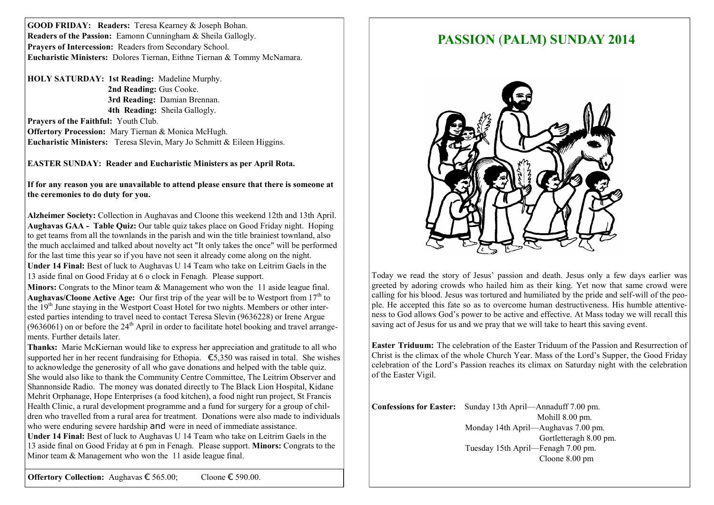**GOOD FRIDAY: Readers:** Teresa Kearney & Joseph Bohan. **Readers of the Passion:** Eamonn Cunningham & Sheila Gallogly. Prayers of Intercession: Readers from Secondary School. **Eucharistic Ministers:** Dolores Tiernan, Eithne Tiernan & Tommy McNamara.

**HOLY SATURDAY: 1st Reading:** Madeline Murphy.  **2nd Reading:** Gus Cooke.  **3rd Reading:** Damian Brennan.  **4th Reading:** Sheila Gallogly. **Prayers of the Faithful:** Youth Club.

**Offertory Procession:** Mary Tiernan & Monica McHugh. **Eucharistic Ministers:** Teresa Slevin, Mary Jo Schmitt & Eileen Higgins.

**EASTER SUNDAY: Reader and Eucharistic Ministers as per April Rota.**

**If for any reason you are unavailable to attend please ensure that there is someone at the ceremonies to do duty for you.**

**Alzheimer Society:** Collection in Aughavas and Cloone this weekend 12th and 13th April. **Aughavas GAA - Table Quiz:** Our table quiz takes place on Good Friday night. Hoping to get teams from all the townlands in the parish and win the title brainiest townland, also the much acclaimed and talked about novelty act "It only takes the once" will be performed for the last time this year so if you have not seen it already come along on the night. **Under 14 Final:** Best of luck to Aughavas U 14 Team who take on Leitrim Gaels in the 13 aside final on Good Friday at 6 o clock in Fenagh. Please support.

**Minors:** Congrats to the Minor team & Management who won the 11 aside league final. **Aughavas/Cloone Active Age:** Our first trip of the year will be to Westport from 17<sup>th</sup> to the  $19<sup>th</sup>$  June staying in the Westport Coast Hotel for two nights. Members or other interested parties intending to travel need to contact Teresa Slevin (9636228) or Irene Argue  $(9636061)$  on or before the  $24<sup>th</sup>$  April in order to facilitate hotel booking and travel arrangements. Further details later.

**Thanks:** Marie McKiernan would like to express her appreciation and gratitude to all who supported her in her recent fundraising for Ethopia. €5,350 was raised in total. She wishes to acknowledge the generosity of all who gave donations and helped with the table quiz. She would also like to thank the Community Centre Committee, The Leitrim Observer and Shannonside Radio. The money was donated directly to The Black Lion Hospital, Kidane Mehrit Orphanage, Hope Enterprises (a food kitchen), a food night run project, St Francis Health Clinic, a rural development programme and a fund for surgery for a group of children who travelled from a rural area for treatment. Donations were also made to individuals who were enduring severe hardship and were in need of immediate assistance. **Under 14 Final:** Best of luck to Aughavas U 14 Team who take on Leitrim Gaels in the 13 aside final on Good Friday at 6 pm in Fenagh. Please support. **Minors:** Congrats to the Minor team & Management who won the 11 aside league final.

## **PASSION** (**PALM) SUNDAY 2014**



Today we read the story of Jesus' passion and death. Jesus only a few days earlier was greeted by adoring crowds who hailed him as their king. Yet now that same crowd were calling for his blood. Jesus was tortured and humiliated by the pride and self-will of the people. He accepted this fate so as to overcome human destructiveness. His humble attentiveness to God allows God's power to be active and effective. At Mass today we will recall this saving act of Jesus for us and we pray that we will take to heart this saving event.

**Easter Triduum:** The celebration of the Easter Triduum of the Passion and Resurrection of Christ is the climax of the whole Church Year. Mass of the Lord's Supper, the Good Friday celebration of the Lord's Passion reaches its climax on Saturday night with the celebration of the Easter Vigil.

**Confessions for Easter:** Sunday 13th April—Annaduff 7.00 pm. Mohill 8.00 pm. Monday 14th April—Aughavas 7.00 pm. Gortletteragh 8.00 pm. Tuesday 15th April—Fenagh 7.00 pm. Cloone 8.00 pm

**Offertory Collection:** Aughavas € 565.00; Cloone € 590.00.